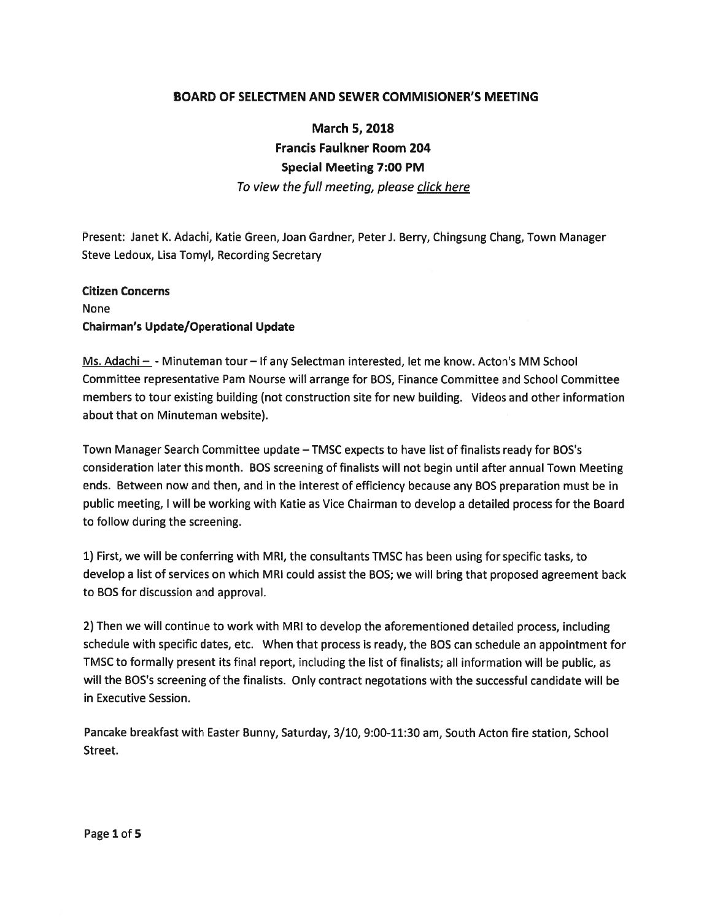### BOARD OF SELECTMEN AND SEWER COMMISIONER'S MEETING

# March 5, 2018 Francis Faulkner Room 204 Special Meeting 7:00 PM

To view the full meeting, please click here

Present: Janet K. Adachi, Katie Green, Joan Gardner, Peter J. Berry, Chingsung Chang, Town Manager Steve Ledoux, Lisa Tomyl, Recording Secretary

#### Citizen Concerns

## None Chairman's Update/Operational Update

Ms. Adachi — -Minuteman tour— If any Selectman interested, let me know. Acton's MM School Committee representative Pam Nourse will arrange for BOS, Finance Committee and School Committee members to tour existing building (not construction site for new building. Videos and other information about that on Minuteman website).

Town Manager Search Committee update – TMSC expects to have list of finalists ready for BOS's consideration later this month. BOS screening of finalists will not begin until after annual Town Meeting ends. Between now and then, and in the interest of efficiency because any SOS preparation must be in public meeting, <sup>I</sup> will be working with Katie as Vice Chairman to develop <sup>a</sup> detailed process for the Board to follow during the screening.

1) First, we will be conferring with MRI, the consultants TMSC has been using for specific tasks, to develop <sup>a</sup> list of services on which MRI could assist the SOS; we will bring that proposed agreemen<sup>t</sup> back to BOS for discussion and approval.

2) Then we will continue to work with MRI to develop the aforementioned detailed process, including schedule with specific dates, etc. When that process is ready, the BOS can schedule an appointment for TMSC to formally presen<sup>t</sup> its final report, including the list of finalists; all information will be public, as will the BOS's screening of the finalists. Only contract negotations with the successful candidate will be in Executive Session.

Pancake breakfast with Easter Bunny, Saturday, 3/10, 9:00-11:30 am, South Acton fire station, School Street.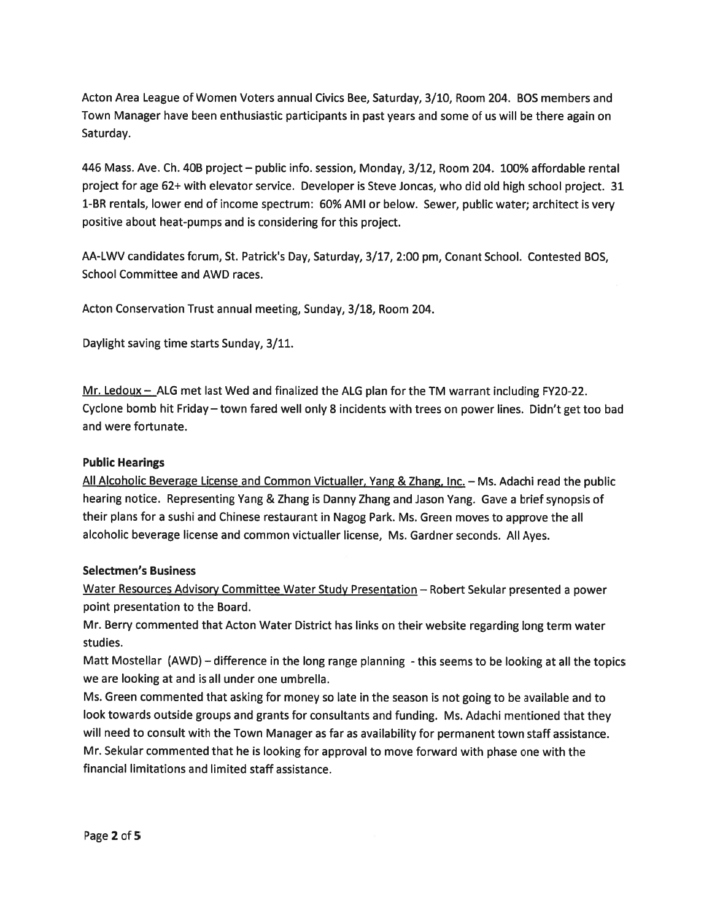Acton Area League of Women Voters annual Civics Bee, Saturday, 3/10, Room 204. BOS members and Town Manager have been enthusiastic participants in pas<sup>t</sup> years and some of us will be there again on Saturday.

446 Mass. Ave. Ch. 40B project — public info, session, Monday, 3/12, Room 204. 100% affordable rental project for age 62+ with elevator service. Developer is Steve Joncas, who did old high school project. 31 1-BR rentals, lower end of income spectrum: 60% AMI or below. Sewer, public water; architect is very positive about heat-pumps and is considering for this project.

AA-LWV candidates forum, St. Patrick's Day, Saturday, 3/17, 2:00 pm, Conant School. Contested BOS, School Committee and AWD races.

Acton Conservation Trust annual meeting, Sunday, 3/18, Room 204.

Daylight saving time starts Sunday, 3/11.

Mr. Ledoux - ALG met last Wed and finalized the ALG plan for the TM warrant including FY20-22. Cyclone bomb hit Friday — town fared well only <sup>8</sup> incidents with trees on power lines. Didn't ge<sup>t</sup> too bad and were fortunate.

### Public Hearings

All Alcoholic Beverage License and Common Victualler, Yang & Zhang, Inc. — Ms. Adachi read the public hearing notice. Representing Yang & Zhang is Danny Zhang and Jason Yang. Gave <sup>a</sup> brief synopsis of their <sup>p</sup>lans for <sup>a</sup> sushi and Chinese restaurant in Nagog Park. Ms. Green moves to approve the all alcoholic beverage license and common victualler license, Ms. Gardner seconds. All Ayes.

### Selectmen's Business

Water Resources Advisory Committee Water Study Presentation — Robert Sekular presented <sup>a</sup> power point presentation to the Board.

Mr. Berry commented that Acton Water District has links on their website regarding long term water studies.

Matt Mostellar (AWD) - difference in the long range planning - this seems to be looking at all the topics we are looking at and is all under one umbrella.

Ms. Green commented that asking for money so late in the season is not going to be available and to look towards outside groups and grants for consultants and funding. Ms. Adachi mentioned that they will need to consult with the Town Manager as far as availability for permanen<sup>t</sup> town staff assistance. Mr. Sekular commented that he is looking for approva<sup>l</sup> to move forward with <sup>p</sup>hase one with the financial limitations and limited staff assistance.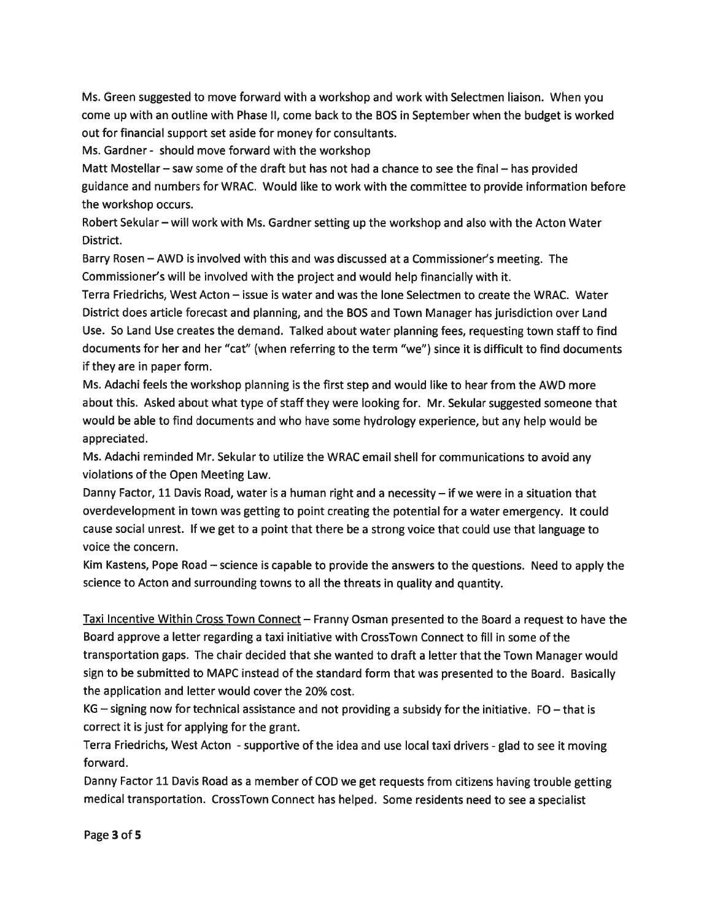Ms. Green suggested to move forward with <sup>a</sup> workshop and work with Selectmen liaison. When you come up with an outline with Phase II, come back to the BOS in September when the budget is worked out for financial suppor<sup>t</sup> set aside for money for consultants.

Ms. Gardner - should move forward with the workshop

Matt Mostellar – saw some of the draft but has not had a chance to see the final – has provided guidance and numbers for WRAC. Would like to work with the committee to provide information before the workshop occurs.

Robert Sekular — will work with Ms. Gardner setting up the workshop and also with the Acton Water District.

Barry Rosen — AWD is involved with this and was discussed at <sup>a</sup> Commissioner's meeting. The Commissioner's will be involved with the project and would help financially with it.

Terra Friedrichs, West Acton — issue is water and was the lone Selectmen to create the WRAC. Water District does article forecast and planning, and the BOS and Town Manager has jurisdiction over Land Use. So Land Use creates the demand. Talked about water planning fees, requesting town staff to find documents for her and her "cat" (when referring to the term "we") since it is difficult to find documents if they are in paper form.

Ms. Adachi feels the workshop planning is the first step and would like to hear from the AWD more about this. Asked about what type of staff they were looking for. Mr. Sekular suggested someone that would be able to find documents and who have some hydrology experience, but any help would be appreciated.

Ms. Adachi reminded Mr. Sekular to utilize the WRAC email shell for communications to avoid any violations of the Open Meeting Law.

Danny Factor, 11 Davis Road, water is <sup>a</sup> human right and <sup>a</sup> necessity — if we were in <sup>a</sup> situation that overdevelopment in town was getting to point creating the potential for <sup>a</sup> water emergency. It could cause social unrest. If we ge<sup>t</sup> to <sup>a</sup> point that there be <sup>a</sup> strong voice that could use that language to voice the concern.

Kim Kastens, Pope Road — science is capable to provide the answers to the questions. Need to apply the science to Acton and surrounding towns to all the threats in quality and quantity.

Taxi Incentive Within Cross Town Connect — Franny Osman presented to the Board <sup>a</sup> reques<sup>t</sup> to have the Board approve <sup>a</sup> letter regarding <sup>a</sup> taxi initiative with CrossTown Connect to fill in some of the transportation gaps. The chair decided that she wanted to draft <sup>a</sup> letter that the Town Manager would sign to be submitted to MAPC instead of the standard form that was presented to the Board. Basically the application and letter would cover the 20% cost.

KG — signing now for technical assistance and not providing <sup>a</sup> subsidy for the initiative. FO — that is correct it is just for applying for the grant.

Terra Friedrichs, West Acton - supportive of the idea and use local taxi drivers - glad to see it moving forward.

Danny Factor <sup>11</sup> Davis Road as <sup>a</sup> member of COD we ge<sup>t</sup> requests from citizens having trouble getting medical transportation. CrossTown Connect has helped. Some residents need to see <sup>a</sup> specialist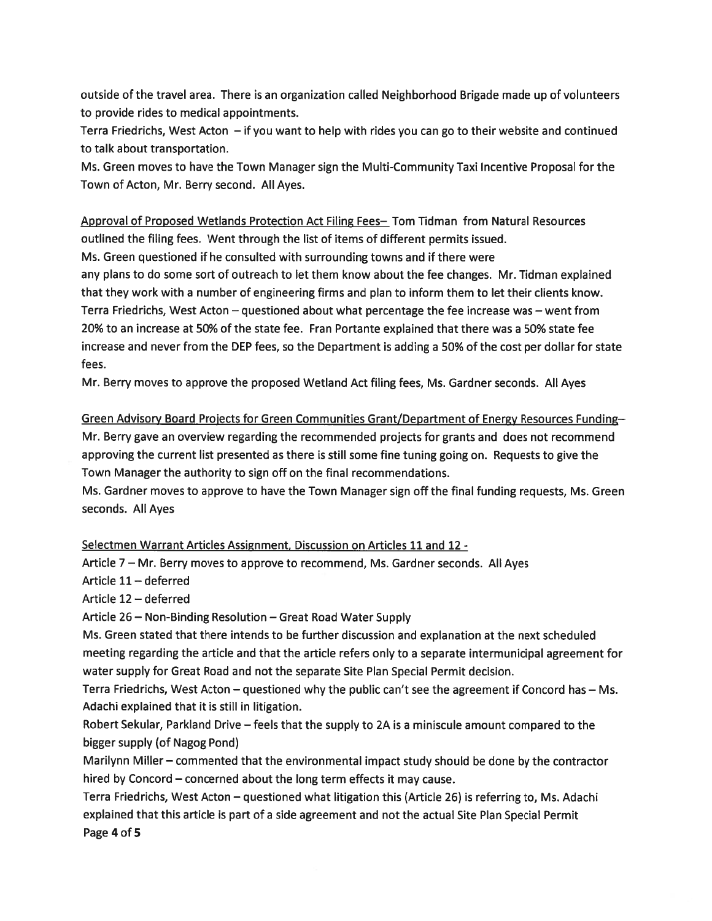outside of the travel area. There is an organization called Neighborhood Brigade made up of volunteers to provide rides to medical appointments.

Terra Friedrichs, West Acton — if you want to help with rides you can go to their website and continued to talk about transportation.

Ms. Green moves to have the Town Manager sign the Multi-Community Taxi Incentive Proposal for the Town of Acton, Mr. Berry second. All Ayes.

Approval of Proposed Wetlands Protection Act Filing Fees— Tom Tidman from Natural Resources outlined the filing fees. Went through the list of items of different permits issued.

Ms. Green questioned if he consulted with surrounding towns and if there were

any plans to do some sort of outreach to let them know about the fee changes. Mr. Tidman explained that they work with <sup>a</sup> number of engineering firms and plan to inform them to let their clients know. Terra Friedrichs, West Acton — questioned about what percentage the fee increase was — went from 20% to an increase at 50% of the state fee. Fran Portante explained that there was <sup>a</sup> 50% state fee increase and never from the DEP fees, so the Department is adding <sup>a</sup> 50% of the cost per dollar for state fees.

Mr. Berry moves to approve the proposed Wetland Act filing fees, Ms. Gardner seconds. All Ayes

Green Advisory Board Prolects for Green Communities Grant/Department of Energy Resources Funding— Mr. Berry gave an overview regarding the recommended projects for grants and does not recommend approving the current list presented as there is still some fine tuning going on. Requests to give the Town Manager the authority to sign off on the final recommendations.

Ms. Gardner moves to approve to have the Town Manager sign off the final funding requests, Ms. Green seconds. All Ayes

Selectmen Warrant Articles Assignment, Discussion on Articles <sup>11</sup> and <sup>12</sup> -

Article <sup>7</sup> — Mr. Berry moves to approve to recommend, Ms. Gardner seconds. All Ayes

Article 11 — deferred

Article 12 — deferred

Article 26 — Non-Binding Resolution — Great Road Water Supply

Ms. Green stated that there intends to be further discussion and explanation at the next scheduled meeting regarding the article and that the article refers only to <sup>a</sup> separate intermunicipal agreemen<sup>t</sup> for water supply for Great Road and not the separate Site Plan Special Permit decision.

Terra Friedrichs, West Acton — questioned why the public can't see the agreemen<sup>t</sup> if Concord has — Ms. Adachi explained that it is still in litigation.

Robert Sekular, Parkland Drive — feels that the supply to 2A is <sup>a</sup> miniscule amount compared to the bigger supply (of Nagog Pond)

Marilynn Miller — commented that the environmental impact study should be done by the contractor hired by Concord — concerned about the long term effects it may cause.

Terra Friedrichs, West Acton - questioned what litigation this (Article 26) is referring to, Ms. Adachi explained that this article is par<sup>t</sup> of <sup>a</sup> side agreemen<sup>t</sup> and not the actual Site Plan Special Permit Page 4 of 5